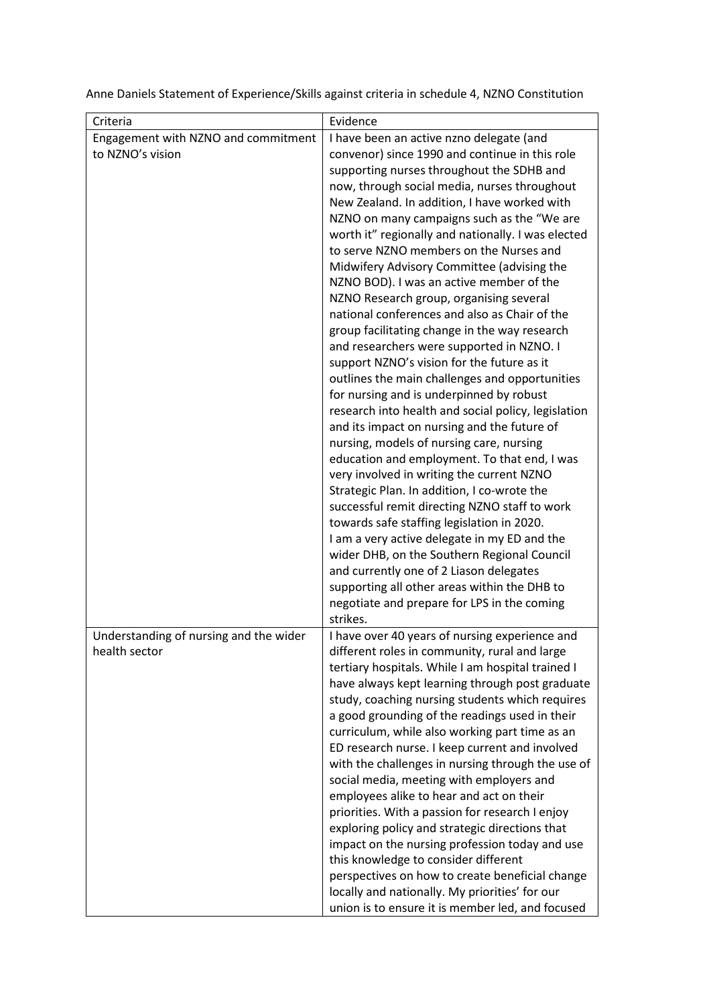Anne Daniels Statement of Experience/Skills against criteria in schedule 4, NZNO Constitution

| Criteria                                                | Evidence                                                                                                                                                                                                                                                                                                                                                                                                                                                                                                                                                                                                                                                                                                                                                                                                                                                                                                                                                                                                                                                                                                                                                                                                                                                                                                                                                      |
|---------------------------------------------------------|---------------------------------------------------------------------------------------------------------------------------------------------------------------------------------------------------------------------------------------------------------------------------------------------------------------------------------------------------------------------------------------------------------------------------------------------------------------------------------------------------------------------------------------------------------------------------------------------------------------------------------------------------------------------------------------------------------------------------------------------------------------------------------------------------------------------------------------------------------------------------------------------------------------------------------------------------------------------------------------------------------------------------------------------------------------------------------------------------------------------------------------------------------------------------------------------------------------------------------------------------------------------------------------------------------------------------------------------------------------|
| Engagement with NZNO and commitment<br>to NZNO's vision | I have been an active nzno delegate (and<br>convenor) since 1990 and continue in this role<br>supporting nurses throughout the SDHB and<br>now, through social media, nurses throughout<br>New Zealand. In addition, I have worked with<br>NZNO on many campaigns such as the "We are<br>worth it" regionally and nationally. I was elected<br>to serve NZNO members on the Nurses and<br>Midwifery Advisory Committee (advising the<br>NZNO BOD). I was an active member of the<br>NZNO Research group, organising several<br>national conferences and also as Chair of the<br>group facilitating change in the way research<br>and researchers were supported in NZNO. I<br>support NZNO's vision for the future as it<br>outlines the main challenges and opportunities<br>for nursing and is underpinned by robust<br>research into health and social policy, legislation<br>and its impact on nursing and the future of<br>nursing, models of nursing care, nursing<br>education and employment. To that end, I was<br>very involved in writing the current NZNO<br>Strategic Plan. In addition, I co-wrote the<br>successful remit directing NZNO staff to work<br>towards safe staffing legislation in 2020.<br>I am a very active delegate in my ED and the<br>wider DHB, on the Southern Regional Council<br>and currently one of 2 Liason delegates |
|                                                         | supporting all other areas within the DHB to<br>negotiate and prepare for LPS in the coming                                                                                                                                                                                                                                                                                                                                                                                                                                                                                                                                                                                                                                                                                                                                                                                                                                                                                                                                                                                                                                                                                                                                                                                                                                                                   |
| Understanding of nursing and the wider<br>health sector | strikes.<br>I have over 40 years of nursing experience and<br>different roles in community, rural and large<br>tertiary hospitals. While I am hospital trained I<br>have always kept learning through post graduate<br>study, coaching nursing students which requires<br>a good grounding of the readings used in their<br>curriculum, while also working part time as an<br>ED research nurse. I keep current and involved<br>with the challenges in nursing through the use of<br>social media, meeting with employers and<br>employees alike to hear and act on their<br>priorities. With a passion for research I enjoy<br>exploring policy and strategic directions that<br>impact on the nursing profession today and use<br>this knowledge to consider different<br>perspectives on how to create beneficial change<br>locally and nationally. My priorities' for our<br>union is to ensure it is member led, and focused                                                                                                                                                                                                                                                                                                                                                                                                                             |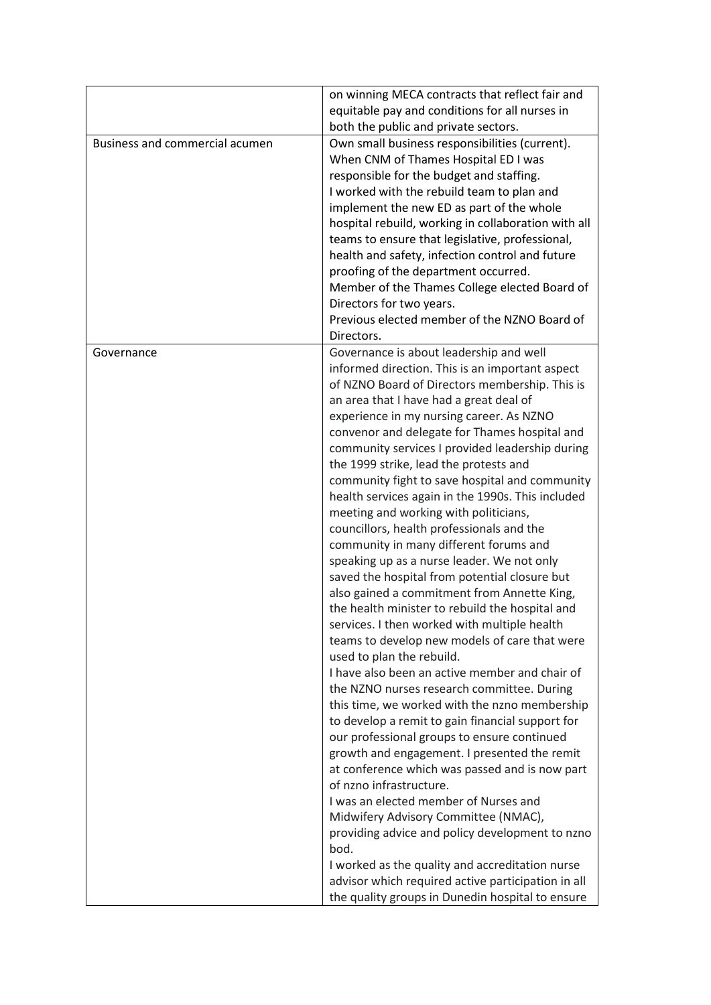|                                | on winning MECA contracts that reflect fair and     |
|--------------------------------|-----------------------------------------------------|
|                                | equitable pay and conditions for all nurses in      |
|                                | both the public and private sectors.                |
| Business and commercial acumen | Own small business responsibilities (current).      |
|                                | When CNM of Thames Hospital ED I was                |
|                                | responsible for the budget and staffing.            |
|                                | I worked with the rebuild team to plan and          |
|                                | implement the new ED as part of the whole           |
|                                | hospital rebuild, working in collaboration with all |
|                                | teams to ensure that legislative, professional,     |
|                                | health and safety, infection control and future     |
|                                | proofing of the department occurred.                |
|                                | Member of the Thames College elected Board of       |
|                                |                                                     |
|                                | Directors for two years.                            |
|                                | Previous elected member of the NZNO Board of        |
|                                | Directors.                                          |
| Governance                     | Governance is about leadership and well             |
|                                | informed direction. This is an important aspect     |
|                                | of NZNO Board of Directors membership. This is      |
|                                | an area that I have had a great deal of             |
|                                | experience in my nursing career. As NZNO            |
|                                | convenor and delegate for Thames hospital and       |
|                                | community services I provided leadership during     |
|                                | the 1999 strike, lead the protests and              |
|                                | community fight to save hospital and community      |
|                                | health services again in the 1990s. This included   |
|                                | meeting and working with politicians,               |
|                                | councillors, health professionals and the           |
|                                | community in many different forums and              |
|                                | speaking up as a nurse leader. We not only          |
|                                | saved the hospital from potential closure but       |
|                                | also gained a commitment from Annette King,         |
|                                | the health minister to rebuild the hospital and     |
|                                | services. I then worked with multiple health        |
|                                | teams to develop new models of care that were       |
|                                | used to plan the rebuild.                           |
|                                | I have also been an active member and chair of      |
|                                |                                                     |
|                                | the NZNO nurses research committee. During          |
|                                | this time, we worked with the nzno membership       |
|                                | to develop a remit to gain financial support for    |
|                                | our professional groups to ensure continued         |
|                                | growth and engagement. I presented the remit        |
|                                | at conference which was passed and is now part      |
|                                | of nzno infrastructure.                             |
|                                | I was an elected member of Nurses and               |
|                                | Midwifery Advisory Committee (NMAC),                |
|                                | providing advice and policy development to nzno     |
|                                | bod.                                                |
|                                | I worked as the quality and accreditation nurse     |
|                                | advisor which required active participation in all  |
|                                | the quality groups in Dunedin hospital to ensure    |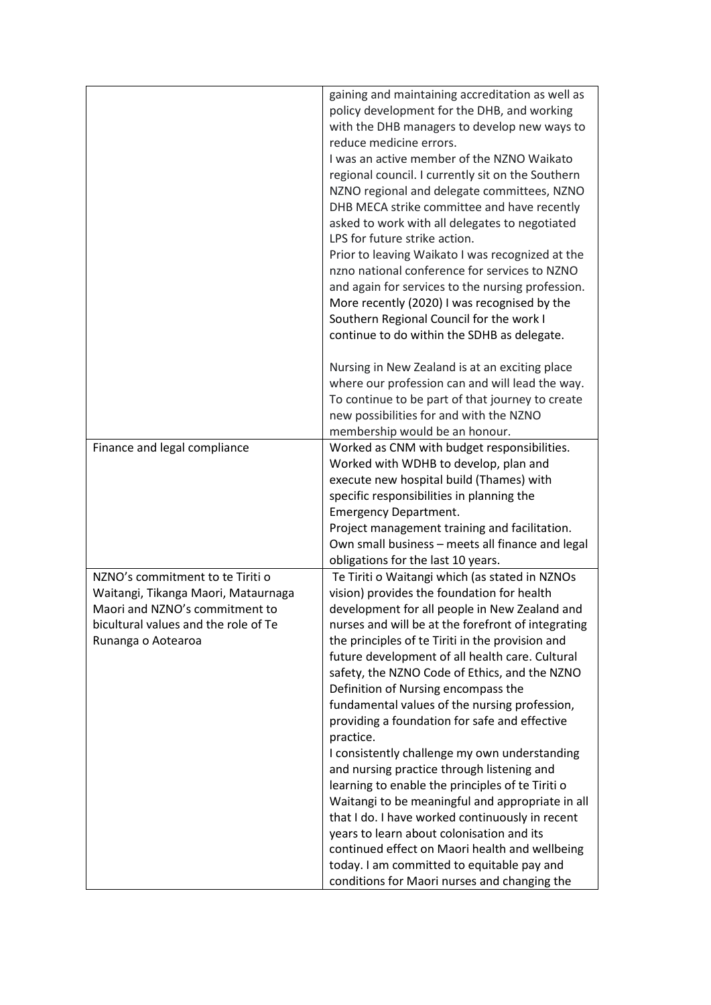|                                                                                                                                                                         | gaining and maintaining accreditation as well as<br>policy development for the DHB, and working<br>with the DHB managers to develop new ways to<br>reduce medicine errors.<br>I was an active member of the NZNO Waikato<br>regional council. I currently sit on the Southern<br>NZNO regional and delegate committees, NZNO<br>DHB MECA strike committee and have recently<br>asked to work with all delegates to negotiated<br>LPS for future strike action.<br>Prior to leaving Waikato I was recognized at the<br>nzno national conference for services to NZNO<br>and again for services to the nursing profession.<br>More recently (2020) I was recognised by the<br>Southern Regional Council for the work I<br>continue to do within the SDHB as delegate.                                                                                                                                                                                                      |
|-------------------------------------------------------------------------------------------------------------------------------------------------------------------------|--------------------------------------------------------------------------------------------------------------------------------------------------------------------------------------------------------------------------------------------------------------------------------------------------------------------------------------------------------------------------------------------------------------------------------------------------------------------------------------------------------------------------------------------------------------------------------------------------------------------------------------------------------------------------------------------------------------------------------------------------------------------------------------------------------------------------------------------------------------------------------------------------------------------------------------------------------------------------|
|                                                                                                                                                                         | Nursing in New Zealand is at an exciting place<br>where our profession can and will lead the way.<br>To continue to be part of that journey to create<br>new possibilities for and with the NZNO<br>membership would be an honour.                                                                                                                                                                                                                                                                                                                                                                                                                                                                                                                                                                                                                                                                                                                                       |
| Finance and legal compliance                                                                                                                                            | Worked as CNM with budget responsibilities.<br>Worked with WDHB to develop, plan and<br>execute new hospital build (Thames) with<br>specific responsibilities in planning the<br><b>Emergency Department.</b><br>Project management training and facilitation.<br>Own small business - meets all finance and legal<br>obligations for the last 10 years.                                                                                                                                                                                                                                                                                                                                                                                                                                                                                                                                                                                                                 |
| NZNO's commitment to te Tiriti o<br>Waitangi, Tikanga Maori, Mataurnaga<br>Maori and NZNO's commitment to<br>bicultural values and the role of Te<br>Runanga o Aotearoa | Te Tiriti o Waitangi which (as stated in NZNOs<br>vision) provides the foundation for health<br>development for all people in New Zealand and<br>nurses and will be at the forefront of integrating<br>the principles of te Tiriti in the provision and<br>future development of all health care. Cultural<br>safety, the NZNO Code of Ethics, and the NZNO<br>Definition of Nursing encompass the<br>fundamental values of the nursing profession,<br>providing a foundation for safe and effective<br>practice.<br>I consistently challenge my own understanding<br>and nursing practice through listening and<br>learning to enable the principles of te Tiriti o<br>Waitangi to be meaningful and appropriate in all<br>that I do. I have worked continuously in recent<br>years to learn about colonisation and its<br>continued effect on Maori health and wellbeing<br>today. I am committed to equitable pay and<br>conditions for Maori nurses and changing the |